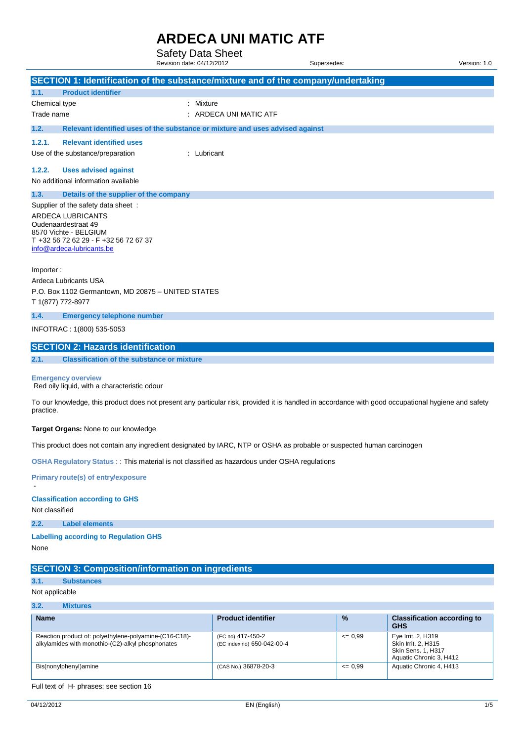Safety Data Sheet

|                |                                                                           | Revision date: 04/12/2012                                                                    | Supersedes:                                                                                                                                         | Version: 1.0 |
|----------------|---------------------------------------------------------------------------|----------------------------------------------------------------------------------------------|-----------------------------------------------------------------------------------------------------------------------------------------------------|--------------|
|                |                                                                           |                                                                                              | SECTION 1: Identification of the substance/mixture and of the company/undertaking                                                                   |              |
| 1.1.           | <b>Product identifier</b>                                                 |                                                                                              |                                                                                                                                                     |              |
| Chemical type  |                                                                           | : Mixture                                                                                    |                                                                                                                                                     |              |
| Trade name     |                                                                           | : ARDECA UNI MATIC ATF                                                                       |                                                                                                                                                     |              |
| 1.2.           |                                                                           | Relevant identified uses of the substance or mixture and uses advised against                |                                                                                                                                                     |              |
| 1.2.1.         | <b>Relevant identified uses</b>                                           |                                                                                              |                                                                                                                                                     |              |
|                | Use of the substance/preparation                                          | : Lubricant                                                                                  |                                                                                                                                                     |              |
| 1.2.2.         | <b>Uses advised against</b>                                               |                                                                                              |                                                                                                                                                     |              |
|                | No additional information available                                       |                                                                                              |                                                                                                                                                     |              |
| 1.3.           | Details of the supplier of the company                                    |                                                                                              |                                                                                                                                                     |              |
|                | Supplier of the safety data sheet:                                        |                                                                                              |                                                                                                                                                     |              |
|                | ARDECA LUBRICANTS                                                         |                                                                                              |                                                                                                                                                     |              |
|                | Oudenaardestraat 49<br>8570 Vichte - BELGIUM                              |                                                                                              |                                                                                                                                                     |              |
|                | T +32 56 72 62 29 - F +32 56 72 67 37                                     |                                                                                              |                                                                                                                                                     |              |
|                | info@ardeca-lubricants.be                                                 |                                                                                              |                                                                                                                                                     |              |
| Importer:      |                                                                           |                                                                                              |                                                                                                                                                     |              |
|                | Ardeca Lubricants USA                                                     |                                                                                              |                                                                                                                                                     |              |
|                | P.O. Box 1102 Germantown, MD 20875 - UNITED STATES                        |                                                                                              |                                                                                                                                                     |              |
|                | T 1(877) 772-8977                                                         |                                                                                              |                                                                                                                                                     |              |
| 1.4.           | <b>Emergency telephone number</b>                                         |                                                                                              |                                                                                                                                                     |              |
|                | INFOTRAC: 1(800) 535-5053                                                 |                                                                                              |                                                                                                                                                     |              |
|                | <b>SECTION 2: Hazards identification</b>                                  |                                                                                              |                                                                                                                                                     |              |
| 2.1.           | <b>Classification of the substance or mixture</b>                         |                                                                                              |                                                                                                                                                     |              |
|                | <b>Emergency overview</b><br>Red oily liquid, with a characteristic odour |                                                                                              |                                                                                                                                                     |              |
| practice.      |                                                                           |                                                                                              | To our knowledge, this product does not present any particular risk, provided it is handled in accordance with good occupational hygiene and safety |              |
|                | Target Organs: None to our knowledge                                      |                                                                                              |                                                                                                                                                     |              |
|                |                                                                           |                                                                                              | This product does not contain any ingredient designated by IARC, NTP or OSHA as probable or suspected human carcinogen                              |              |
|                |                                                                           | OSHA Regulatory Status : This material is not classified as hazardous under OSHA regulations |                                                                                                                                                     |              |
|                | <b>Primary route(s) of entry/exposure</b>                                 |                                                                                              |                                                                                                                                                     |              |
| Not classified | <b>Classification according to GHS</b>                                    |                                                                                              |                                                                                                                                                     |              |
| 2.2.           | <b>Label elements</b>                                                     |                                                                                              |                                                                                                                                                     |              |
|                | <b>Labelling according to Regulation GHS</b>                              |                                                                                              |                                                                                                                                                     |              |
| None           |                                                                           |                                                                                              |                                                                                                                                                     |              |

#### **SECTION 3: Composition/information on ingredients**

### **3.1. Substances**

Not applicable

#### **3.2. Mixtures**

| <b>Name</b>                                                                                                 | <b>Product identifier</b>                       | $\frac{9}{6}$ | <b>Classification according to</b><br><b>GHS</b>                                                  |
|-------------------------------------------------------------------------------------------------------------|-------------------------------------------------|---------------|---------------------------------------------------------------------------------------------------|
| Reaction product of: polyethylene-polyamine-(C16-C18)-<br>alkylamides with monothio-(C2)-alkyl phosphonates | (EC no) 417-450-2<br>(EC index no) 650-042-00-4 | $= 0.99$      | Eye Irrit. 2, H319<br>Skin Irrit, 2, H315<br><b>Skin Sens. 1, H317</b><br>Aquatic Chronic 3, H412 |
| Bis(nonylphenyl)amine                                                                                       | (CAS No.) 36878-20-3                            | $= 0.99$      | Aquatic Chronic 4, H413                                                                           |

#### Full text of H- phrases: see section 16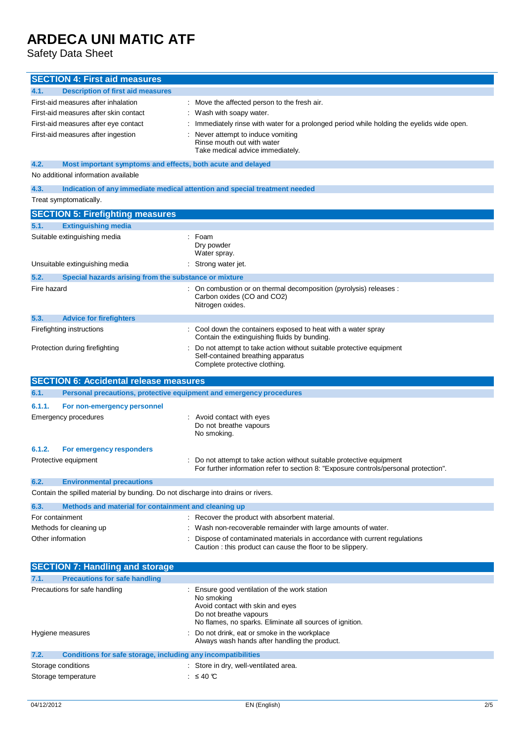Safety Data Sheet

| <b>SECTION 4: First aid measures</b>                                                   |                                                                                                                                                               |
|----------------------------------------------------------------------------------------|---------------------------------------------------------------------------------------------------------------------------------------------------------------|
| <b>Description of first aid measures</b><br>4.1.                                       |                                                                                                                                                               |
| First-aid measures after inhalation                                                    | Move the affected person to the fresh air.                                                                                                                    |
| First-aid measures after skin contact                                                  | Wash with soapy water.                                                                                                                                        |
| First-aid measures after eye contact                                                   | Immediately rinse with water for a prolonged period while holding the eyelids wide open.                                                                      |
| First-aid measures after ingestion                                                     | Never attempt to induce vomiting<br>Rinse mouth out with water<br>Take medical advice immediately.                                                            |
| 4.2.<br>Most important symptoms and effects, both acute and delayed                    |                                                                                                                                                               |
| No additional information available                                                    |                                                                                                                                                               |
| 4.3.                                                                                   | Indication of any immediate medical attention and special treatment needed                                                                                    |
| Treat symptomatically.                                                                 |                                                                                                                                                               |
| <b>SECTION 5: Firefighting measures</b>                                                |                                                                                                                                                               |
| <b>Extinguishing media</b><br>5.1.                                                     |                                                                                                                                                               |
| Suitable extinguishing media                                                           | Foam<br>Dry powder<br>Water spray.                                                                                                                            |
| Unsuitable extinguishing media                                                         | Strong water jet.                                                                                                                                             |
| 5.2.<br>Special hazards arising from the substance or mixture                          |                                                                                                                                                               |
| Fire hazard                                                                            | On combustion or on thermal decomposition (pyrolysis) releases :<br>Carbon oxides (CO and CO2)<br>Nitrogen oxides.                                            |
| 5.3.<br><b>Advice for firefighters</b>                                                 |                                                                                                                                                               |
| Firefighting instructions                                                              | Cool down the containers exposed to heat with a water spray                                                                                                   |
| Protection during firefighting                                                         | Contain the extinguishing fluids by bunding.<br>Do not attempt to take action without suitable protective equipment                                           |
|                                                                                        | Self-contained breathing apparatus<br>Complete protective clothing.                                                                                           |
| <b>SECTION 6: Accidental release measures</b>                                          |                                                                                                                                                               |
|                                                                                        |                                                                                                                                                               |
| 6.1.                                                                                   |                                                                                                                                                               |
| Personal precautions, protective equipment and emergency procedures                    |                                                                                                                                                               |
| 6.1.1.<br>For non-emergency personnel<br><b>Emergency procedures</b>                   | Avoid contact with eves<br>Do not breathe vapours<br>No smoking.                                                                                              |
| 6.1.2.<br>For emergency responders                                                     |                                                                                                                                                               |
| Protective equipment                                                                   | : Do not attempt to take action without suitable protective equipment<br>For further information refer to section 8: "Exposure controls/personal protection". |
| 6.2.<br><b>Environmental precautions</b>                                               |                                                                                                                                                               |
| Contain the spilled material by bunding. Do not discharge into drains or rivers.       |                                                                                                                                                               |
| 6.3.<br>Methods and material for containment and cleaning up                           |                                                                                                                                                               |
| For containment                                                                        | : Recover the product with absorbent material.                                                                                                                |
| Methods for cleaning up                                                                | Wash non-recoverable remainder with large amounts of water.                                                                                                   |
| Other information                                                                      | Dispose of contaminated materials in accordance with current regulations<br>Caution : this product can cause the floor to be slippery.                        |
|                                                                                        |                                                                                                                                                               |
| <b>SECTION 7: Handling and storage</b><br><b>Precautions for safe handling</b><br>7.1. |                                                                                                                                                               |
| Precautions for safe handling                                                          | Ensure good ventilation of the work station<br>No smoking<br>Avoid contact with skin and eyes                                                                 |
|                                                                                        | Do not breathe vapours                                                                                                                                        |
|                                                                                        | No flames, no sparks. Eliminate all sources of ignition.                                                                                                      |
| Hygiene measures                                                                       | Do not drink, eat or smoke in the workplace<br>Always wash hands after handling the product.                                                                  |
| 7.2.<br>Conditions for safe storage, including any incompatibilities                   |                                                                                                                                                               |
| Storage conditions                                                                     | Store in dry, well-ventilated area.                                                                                                                           |
| Storage temperature                                                                    | $≤ 40$ ℃                                                                                                                                                      |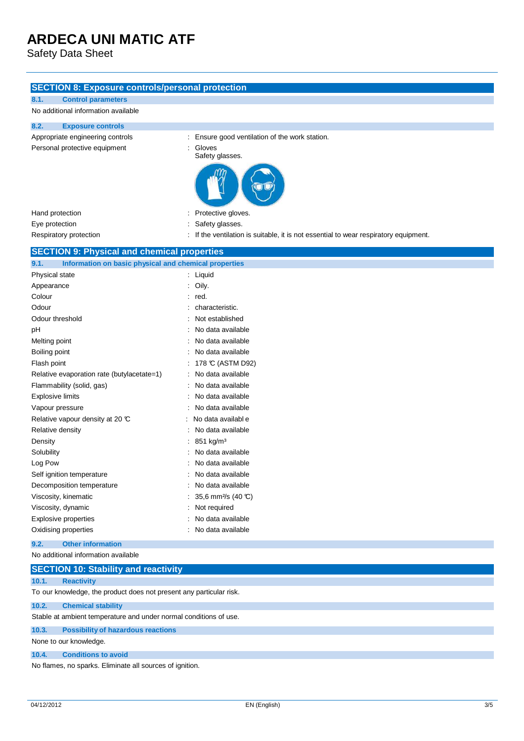Safety Data Sheet

#### **SECTION 8: Exposure controls/personal protection**

| 8.1.           | <b>Control parameters</b>                             |                                                                                    |
|----------------|-------------------------------------------------------|------------------------------------------------------------------------------------|
|                | No additional information available                   |                                                                                    |
| 8.2.           | <b>Exposure controls</b>                              |                                                                                    |
|                | Appropriate engineering controls                      | Ensure good ventilation of the work station.                                       |
|                | Personal protective equipment                         | Gloves                                                                             |
|                |                                                       | Safety glasses.                                                                    |
|                |                                                       |                                                                                    |
|                | Hand protection                                       | Protective gloves.                                                                 |
| Eye protection |                                                       | Safety glasses.                                                                    |
|                | Respiratory protection                                | If the ventilation is suitable, it is not essential to wear respiratory equipment. |
|                | <b>SECTION 9: Physical and chemical properties</b>    |                                                                                    |
| 9.1.           | Information on basic physical and chemical properties |                                                                                    |
|                | Physical state                                        | : Liquid                                                                           |
| Appearance     |                                                       | Oily.                                                                              |
| Colour         |                                                       | red.                                                                               |
| Odour          |                                                       | characteristic.                                                                    |
|                | Odour threshold                                       | Not established                                                                    |
| pH             |                                                       | No data available                                                                  |
| Melting point  |                                                       | No data available                                                                  |
| Boiling point  |                                                       | No data available                                                                  |
| Flash point    |                                                       | 178 °C (ASTM D92)                                                                  |
|                | Relative evaporation rate (butylacetate=1)            | No data available                                                                  |
|                | Flammability (solid, gas)                             | No data available                                                                  |
|                | <b>Explosive limits</b>                               | No data available                                                                  |
|                | Vapour pressure                                       | No data available                                                                  |
|                | Relative vapour density at 20 °C                      | No data available                                                                  |
|                | Relative density                                      | No data available                                                                  |
| Density        |                                                       | 851 kg/m <sup>3</sup>                                                              |
| Solubility     |                                                       | No data available                                                                  |
| Log Pow        |                                                       | No data available                                                                  |
|                | Self ignition temperature                             | No data available                                                                  |
|                | Decomposition temperature                             | No data available                                                                  |
|                | Production film and article                           | 0.5.011111000                                                                      |

| <b>Proprise Component Component Component Component Component Component Component Component Component Component Component Component Component Component Component Component Component Component Component Component Component Co</b> | no autu uvulluvlo                 |
|--------------------------------------------------------------------------------------------------------------------------------------------------------------------------------------------------------------------------------------|-----------------------------------|
| Viscosity, kinematic                                                                                                                                                                                                                 | : 35,6 mm <sup>2</sup> /s (40 °C) |
| Viscosity, dynamic                                                                                                                                                                                                                   | : Not required                    |
| Explosive properties                                                                                                                                                                                                                 | : No data available               |
| Oxidising properties                                                                                                                                                                                                                 | : No data available               |

#### **9.2. Other information**

#### No additional information available

|                        | <b>SECTION 10: Stability and reactivity</b>                         |  |  |  |  |  |
|------------------------|---------------------------------------------------------------------|--|--|--|--|--|
| 10.1.                  | <b>Reactivity</b>                                                   |  |  |  |  |  |
|                        | To our knowledge, the product does not present any particular risk. |  |  |  |  |  |
| 10.2.                  | <b>Chemical stability</b>                                           |  |  |  |  |  |
|                        | Stable at ambient temperature and under normal conditions of use.   |  |  |  |  |  |
| 10.3.                  | <b>Possibility of hazardous reactions</b>                           |  |  |  |  |  |
| None to our knowledge. |                                                                     |  |  |  |  |  |
| 10.4.                  | <b>Conditions to avoid</b>                                          |  |  |  |  |  |
|                        | No flames, no sparks. Eliminate all sources of ignition.            |  |  |  |  |  |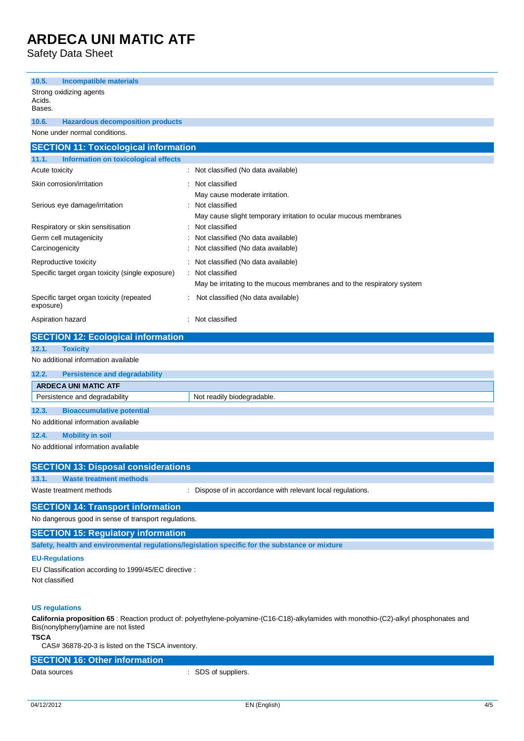Safety Data Sheet

| <b>Incompatible materials</b><br>10.5.                                                                                                  |                                                                          |  |  |
|-----------------------------------------------------------------------------------------------------------------------------------------|--------------------------------------------------------------------------|--|--|
| Strong oxidizing agents                                                                                                                 |                                                                          |  |  |
| Acids.<br>Bases.                                                                                                                        |                                                                          |  |  |
| <b>Hazardous decomposition products</b><br>10.6.                                                                                        |                                                                          |  |  |
| None under normal conditions.                                                                                                           |                                                                          |  |  |
| <b>SECTION 11: Toxicological information</b>                                                                                            |                                                                          |  |  |
| 11.1.<br>Information on toxicological effects                                                                                           |                                                                          |  |  |
| Acute toxicity                                                                                                                          | Not classified (No data available)                                       |  |  |
| Skin corrosion/irritation                                                                                                               | Not classified                                                           |  |  |
|                                                                                                                                         | May cause moderate irritation.                                           |  |  |
| Serious eye damage/irritation                                                                                                           | Not classified                                                           |  |  |
|                                                                                                                                         | May cause slight temporary irritation to ocular mucous membranes         |  |  |
| Respiratory or skin sensitisation                                                                                                       | Not classified                                                           |  |  |
| Germ cell mutagenicity<br>Carcinogenicity                                                                                               | Not classified (No data available)<br>Not classified (No data available) |  |  |
|                                                                                                                                         |                                                                          |  |  |
| Reproductive toxicity<br>Specific target organ toxicity (single exposure)                                                               | Not classified (No data available)<br>Not classified                     |  |  |
|                                                                                                                                         | May be irritating to the mucous membranes and to the respiratory system  |  |  |
| Specific target organ toxicity (repeated                                                                                                | Not classified (No data available)                                       |  |  |
| exposure)                                                                                                                               |                                                                          |  |  |
| Aspiration hazard                                                                                                                       | : Not classified                                                         |  |  |
| <b>SECTION 12: Ecological information</b>                                                                                               |                                                                          |  |  |
| 12.1.<br><b>Toxicity</b>                                                                                                                |                                                                          |  |  |
| No additional information available                                                                                                     |                                                                          |  |  |
| 12.2.<br><b>Persistence and degradability</b>                                                                                           |                                                                          |  |  |
| <b>ARDECA UNI MATIC ATF</b>                                                                                                             |                                                                          |  |  |
| Persistence and degradability                                                                                                           | Not readily biodegradable.                                               |  |  |
| 12.3.<br><b>Bioaccumulative potential</b>                                                                                               |                                                                          |  |  |
| No additional information available                                                                                                     |                                                                          |  |  |
| 12.4.<br><b>Mobility in soil</b>                                                                                                        |                                                                          |  |  |
| No additional information available                                                                                                     |                                                                          |  |  |
| <b>SECTION 13: Disposal considerations</b>                                                                                              |                                                                          |  |  |
| <b>Waste treatment methods</b><br>13.1.                                                                                                 |                                                                          |  |  |
| Waste treatment methods                                                                                                                 | : Dispose of in accordance with relevant local regulations.              |  |  |
| <b>SECTION 14: Transport information</b>                                                                                                |                                                                          |  |  |
| No dangerous good in sense of transport regulations.                                                                                    |                                                                          |  |  |
| <b>SECTION 15: Regulatory information</b>                                                                                               |                                                                          |  |  |
| Safety, health and environmental regulations/legislation specific for the substance or mixture                                          |                                                                          |  |  |
| <b>EU-Regulations</b>                                                                                                                   |                                                                          |  |  |
| EU Classification according to 1999/45/EC directive :                                                                                   |                                                                          |  |  |
| Not classified                                                                                                                          |                                                                          |  |  |
|                                                                                                                                         |                                                                          |  |  |
| <b>US regulations</b>                                                                                                                   |                                                                          |  |  |
| California proposition 65 : Reaction product of: polyethylene-polyamine-(C16-C18)-alkylamides with monothio-(C2)-alkyl phosphonates and |                                                                          |  |  |

Bis(nonylphenyl)amine are not listed

#### **TSCA**

CAS# 36878-20-3 is listed on the TSCA inventory.

#### **SECTION 16: Other information**

Data sources in the set of state of the SDS of suppliers.